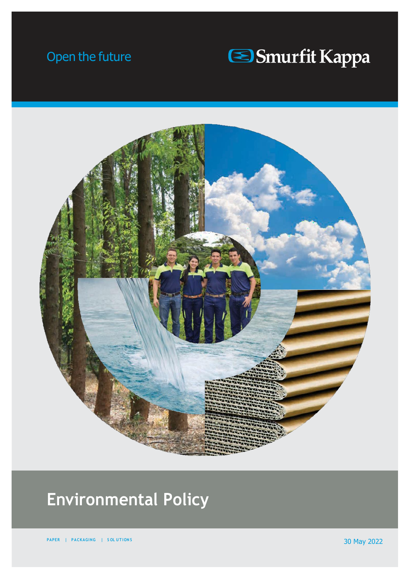# Open the future





# **Environmental Policy**

**PAPER | PACKAGING | SOLUTIONS 2022**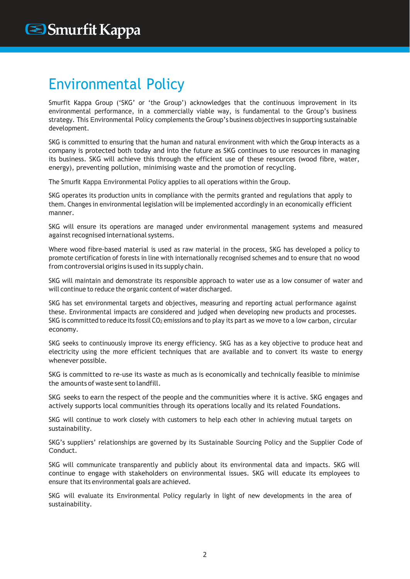### Environmental Policy

Smurfit Kappa Group ('SKG' or 'the Group') acknowledges that the continuous improvement in its environmental performance, in a commercially viable way, is fundamental to the Group's business strategy. This Environmental Policy complements the Group's business objectives in supporting sustainable development.

SKG is committed to ensuring that the human and natural environment with which the Group interacts as a company is protected both today and into the future as SKG continues to use resources in managing its business. SKG will achieve this through the efficient use of these resources (wood fibre, water, energy), preventing pollution, minimising waste and the promotion of recycling.

The Smurfit Kappa Environmental Policy applies to all operations within the Group.

SKG operates its production units in compliance with the permits granted and regulations that apply to them. Changes in environmental legislation will be implemented accordingly in an economically efficient manner.

SKG will ensure its operations are managed under environmental management systems and measured against recognised international systems.

Where wood fibre-based material is used as raw material in the process, SKG has developed a policy to promote certification of forests in line with internationally recognised schemes and to ensure that no wood from controversial origins is used in its supply chain.

SKG will maintain and demonstrate its responsible approach to water use as a low consumer of water and will continue to reduce the organic content of water discharged.

SKG has set environmental targets and objectives, measuring and reporting actual performance against these. Environmental impacts are considered and judged when developing new products and processes. SKG is committed to reduce its fossil  $CO<sub>2</sub>$  emissions and to play its part as we move to a low carbon, circular economy.

SKG seeks to continuously improve its energy efficiency. SKG has as a key objective to produce heat and electricity using the more efficient techniques that are available and to convert its waste to energy whenever possible.

SKG is committed to re-use its waste as much as is economically and technically feasible to minimise the amounts of waste sent to landfill.

SKG seeks to earn the respect of the people and the communities where it is active. SKG engages and actively supports local communities through its operations locally and its related Foundations.

SKG will continue to work closely with customers to help each other in achieving mutual targets on sustainability.

SKG's suppliers' relationships are governed by its Sustainable Sourcing Policy and the Supplier Code of Conduct.

SKG will communicate transparently and publicly about its environmental data and impacts. SKG will continue to engage with stakeholders on environmental issues. SKG will educate its employees to ensure that its environmental goals are achieved.

SKG will evaluate its Environmental Policy regularly in light of new developments in the area of sustainability.